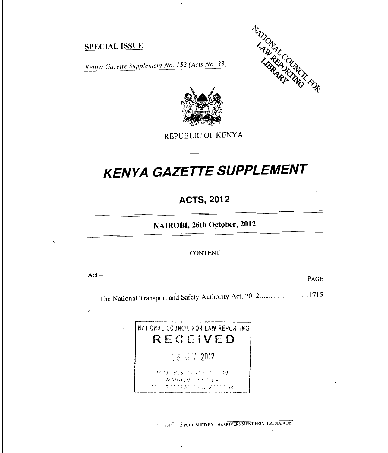#### SPECIAL ISSUE

NATIONAL COUNTROLLING





REPUBLIC OF KENYA

# *KENYA GAZETTE SUPPLEMENT*

### **ACTS, 2012**

**NAIROBI, 26th October, 2012** 

#### CONTENT

Act — PAGE

 $\mathcal{F}_{\mathcal{A}}$ 

The National Transport and Safety Authority Act, 2012 ............................1715



 $\mathbf{r}$ 

**NO NO PUBLISHED BY THE GOVERNMENT PRINTER, NAIROBI**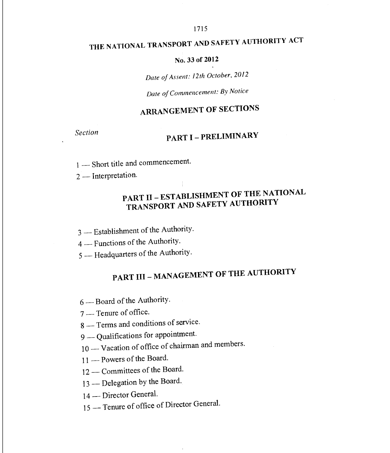# THE NATIONAL TRANSPORT AND SAFETY AUTHORITY ACT

#### No. 33 of 2012

*Date of Assent: 12th October, 2012* 

*Date of Commencement: By Notice* 

# ARRANGEMENT OF SECTIONS

# *Section* PART I — PRELIMINARY

1 — Short title and commencement.

2 — Interpretation.

# PART II — ESTABLISHMENT OF THE NATIONAL TRANSPORT AND SAFETY AUTHORITY

3 — Establishment of the Authority.

4 — Functions of the Authority.

5 — Headquarters of the Authority.

# PART III — MANAGEMENT OF THE AUTHORITY

6 — Board of the Authority.

7 — Tenure of office.

8 — Terms and conditions of service.

9 — Qualifications for appointment.

10 — Vacation of office of chairman and members.

11 — Powers of the Board.

12 — Committees of the Board.

13 — Delegation by the Board.

14 — Director General.

15 — Tenure of office of Director General.

 $\bar{z}$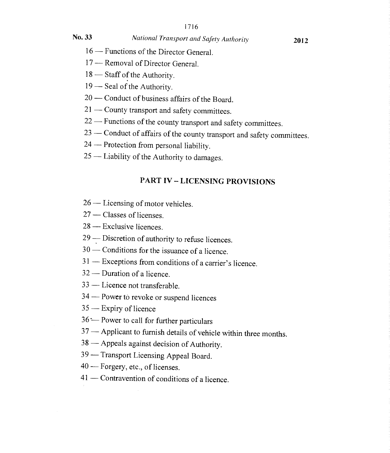#### No. 33 *National Transport and Safety Authority* 2012

- 16 Functions of the Director General.
- 17 Removal of Director General.
- 18 Staff of the Authority.
- 19 Seal of the Authority.
- 20 Conduct of business affairs of the Board.
- 21 County transport and safety committees.
- 22 Functions of the county transport and safety committees.
- 23 Conduct of affairs of the county transport and safety committees.
- 24 Protection from personal liability.
- 25 Liability of the Authority to damages.

#### PART IV — LICENSING PROVISIONS

- 26 Licensing of motor vehicles.
- 27 Classes of licenses.
- 28 Exclusive licences.
- 29 Discretion of authority to refuse licences.
- 30 Conditions for the issuance of a licence.
- 31 Exceptions from conditions of a carrier's licence.
- 32 Duration of a licence.
- 33 Licence not transferable.
- 34 Power to revoke or suspend licences
- 35 Expiry of licence
- 36 -- Power to call for further particulars
- 37 Applicant to furnish details of vehicle within three months.
- 38 Appeals against decision of Authority.
- 39 Transport Licensing Appeal Board.
- 40 Forgery, etc., of licenses.
- 41 Contravention of conditions of a licence.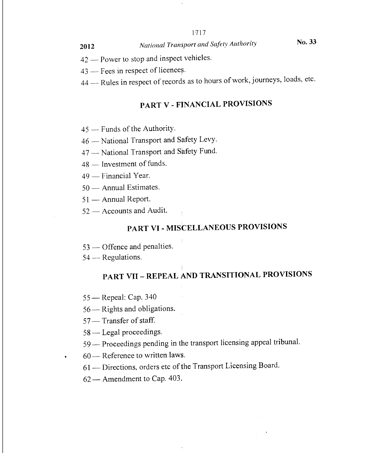<sup>2012</sup>*National Transport and Safety Authority* No. 33

- 42 Power to stop and inspect vehicles.
- 43 Fees in respect of licences.

44 — Rules in respect of records as to hours of work, journeys, loads, etc.

### PART V - FINANCIAL PROVISIONS

- 45 Funds of the Authority.
- 46 National Transport and Safety Levy.
- 47 -- National Transport and Safety Fund.
- 48 Investment of funds.
- 49 Financial Year.
- 50 Annual Estimates.
- 51 Annual Report.
- 52 Accounts and Audit.

#### PART VI - MISCELLANEOUS PROVISIONS

- 53 Offence and penalties.
- 54 Regulations.

### PART VII – REPEAL AND TRANSITIONAL PROVISIONS

- 55 Repeal: Cap. 340
- 56 Rights and obligations.
- 57— Transfer of staff.
- 58 Legal proceedings.
- 59 Proceedings pending in the transport licensing appeal tribunal.
- 60 Reference to written laws.
	- 61— Directions, orders etc of the Transport Licensing Board.
	- 62 Amendment to Cap. 403.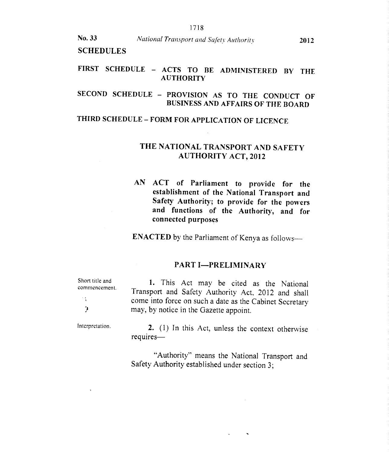**SCHEDULES** 

#### **FIRST SCHEDULE — ACTS TO BE ADMINISTERED BY THE AUTHORITY**

#### **SECOND SCHEDULE — PROVISION AS TO THE CONDUCT OF BUSINESS AND AFFAIRS OF THE BOARD**

#### **THIRD SCHEDULE — FORM FOR APPLICATION OF LICENCE**

#### **THE NATIONAL TRANSPORT AND SAFETY AUTHORITY ACT, 2012**

**AN ACT of Parliament to provide for the establishment of the National Transport and Safety Authority; to provide for the powers and functions of the Authority, and for connected purposes** 

**ENACTED** by the Parliament of Kenya as follows—

#### **PART I—PRELIMINARY**

Short title and commencement.

1. This Act may be cited as the National Transport and Safety Authority Act, 2012 and shall come into force on such a date as the Cabinet Secretary may, by notice in the Gazette appoint.

Interpretation.

 $\mathcal{L}_{\mathbf{A}}$ Ĵ.

> 2. (1) In this Act, unless the context otherwise requires—

> "Authority" means the National Transport and Safety Authority established under section 3;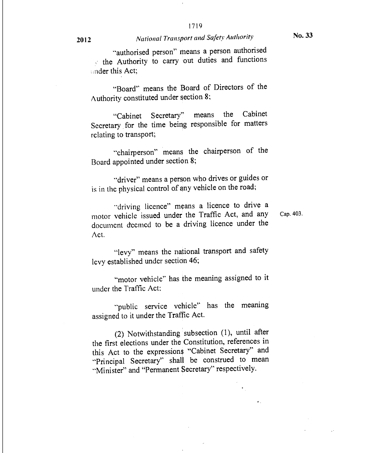"authorised person" means a person authorised  $\therefore$  the Authority to carry out duties and functions

"Board" means the Board of Directors of the Authority constituted under section 8;

"Cabinet Secretary" means the Cabinet Secretary for the time being responsible for matters relating to transport;

"chairperson" means the chairperson of the Board appointed under section 8;

"driver" means a person who drives or guides or is in the physical control of any vehicle on the road;

"driving licence" means a licence to drive a motor vehicle issued under the Traffic Act, and any Cap. 403. document deemed to be a driving licence under the Act.

"levy" means the national transport and safety levy established under section 46;

"motor vehicle" has the meaning assigned to it under the Traffic Act;

"public service vehicle" has the meaning assigned to it under the Traffic Act.

(2) Notwithstanding subsection (1), until after the first elections under the Constitution, references in this Act to the expressions "Cabinet Secretary" and "Principal Secretary" shall be construed to mean "Minister" and "Permanent Secretary" respectively.

**2012** *National Transport and Safety Authority* 

ander this Act;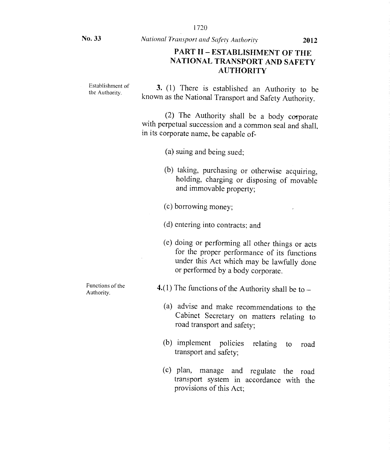No. 33 *National Transport and Safety Authority* 2012

#### PART II — ESTABLISHMENT OF THE NATIONAL TRANSPORT AND SAFETY AUTHORITY

Establishment of the Authority.

3. (1) There is established an Authority to be known as the National Transport and Safety Authority.

(2) The Authority shall be a body corporate with perpetual succession and a common seal and shall, in its corporate name, be capable of-

(a) suing and being sued;

- (b) taking, purchasing or otherwise acquiring, holding, charging or disposing of movable and immovable property;
- (c) borrowing money;
- (d) entering into contracts; and
- (e) doing or performing all other things or acts for the proper performance of its functions under this Act which may be lawfully done or performed by a body corporate.

4.(1) The functions of the Authority shall be to  $-$ 

- (a) advise and make recommendations to the Cabinet Secretary on matters relating to road transport and safety;
- (b) implement policies relating to road transport and safety;
- (c) plan, manage and regulate the road transport system in accordance with the provisions of this Act;

Functions of the Authority.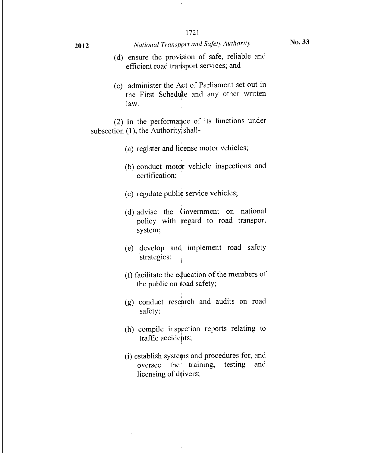### <sup>2012</sup>*National Transport and Safety Authority* No. 33

- (d) ensure the provision of safe, reliable and efficient road transport services; and
- (e) administer the Act of Parliament set out in the First Schedule and any other written law.

(2) In the performance of its functions under subsection (1), the Authority shall-

- (a) register and license motor vehicles;
- (b) conduct motor vehicle inspections and certification;
- (c) regulate public service vehicles;
- (d) advise the Government on national policy with regard to road transport system;
- (e) develop and implement road safety strategies;
- (f) facilitate the education of the members of the public on road safety;
- (g) conduct research and audits on road safety;
- (h) compile inspection reports relating to traffic accidents;
- (i) establish systems and procedures for, and oversee the training, testing and licensing of drivers;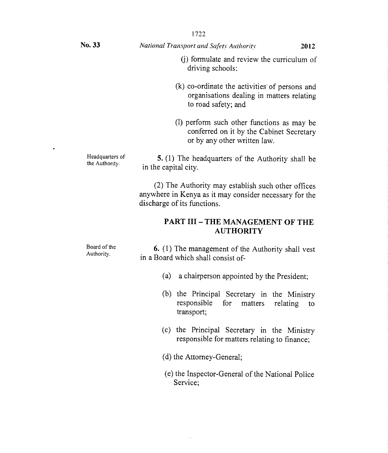(j) formulate and review the curriculum of driving schools;

- (k) co-ordinate the activities' of persons and organisations dealing in matters relating to road safety; and
- (1) perform such other functions as may be conferred on it by the Cabinet Secretary or by any other written law.

Headquarters of the Authority. 5. (1) The headquarters of the Authority shall be in the capital city.

> (2) The Authority may establish such other offices anywhere in Kenya as it may consider necessary for the discharge of its functions.

#### PART III — THE MANAGEMENT OF THE AUTHORITY

Board of the Authority. 6. (1) The management of the Authority shall vest in a Board which shall consist of-

- (a) a chairperson appointed by the President;
- (b) the Principal Secretary in the Ministry responsible for matters relating to transport;
- (c) the Principal Secretary in the Ministry responsible for matters relating to finance;
- (d) the Attorney-General;
- (e) the Inspector-General of the National Police Service;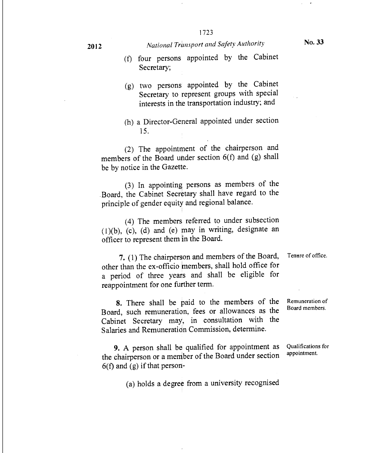2012 *National Transport and Safety Authority* No. 33

- (f) four persons appointed by the Cabinet Secretary;
- (g) two persons appointed by the Cabinet Secretary to represent groups with special interests in the transportation industry; and
- (h) a Director-General appointed under section 15.

(2) The appointment of the chairperson and members of the Board under section 6(f) and (g) shall be by notice in the Gazette.

(3) In appointing persons as members of the Board, the Cabinet Secretary shall have regard to the principle of gender equity and regional balance.

(4) The members referred to under subsection  $(1)(b)$ ,  $(c)$ ,  $(d)$  and  $(e)$  may in writing, designate an officer to represent them in the Board.

**7.** (1) The chairperson and members of the Board, Tenure of office. other than the ex-officio members, shall hold office for a period of three years and shall be eligible for reappointment for one further term.

8. There shall be paid to the members of the Board, such remuneration, fees or allowances as the Cabinet Secretary may, in consultation with the Salaries and Remuneratidn Commission, determine.

9. A person shall be qualified for appointment as the chairperson or a member of the Board under section  $6(f)$  and  $(g)$  if that person-

(a) holds a degree from a university recognised

Remuneration of Board members.

Qualifications for appointment.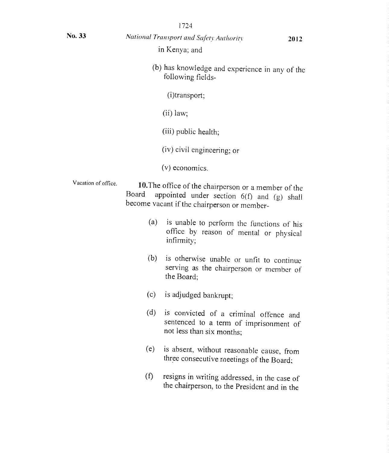| No. 33              |       | National Transport and Safety Authority<br>in Kenya; and                                                                                          | 2012 |
|---------------------|-------|---------------------------------------------------------------------------------------------------------------------------------------------------|------|
|                     |       | (b) has knowledge and experience in any of the<br>following fields-                                                                               |      |
|                     |       | (i)transport;                                                                                                                                     |      |
|                     |       | $(ii)$ law;                                                                                                                                       |      |
|                     |       | (iii) public health;                                                                                                                              |      |
|                     |       | (iv) civil engineering; or                                                                                                                        |      |
|                     |       | (v) economics.                                                                                                                                    |      |
| Vacation of office. | Board | 10. The office of the chairperson or a member of the<br>appointed under section 6(f) and (g) shall<br>become vacant if the chairperson or member- |      |
|                     | (a)   | is unable to perform the functions of his<br>office by reason of mental or physical<br>infirmity;                                                 |      |
|                     | (b)   | is otherwise unable or unfit to continue<br>serving as the chairperson or member of<br>the Board;                                                 |      |
|                     | (c)   | is adjudged bankrupt;                                                                                                                             |      |
|                     | (d)   | is convicted of a criminal offence and<br>sentenced to a term of imprisonment of<br>not less than six months;                                     |      |
|                     | (e)   | is absent, without reasonable cause, from<br>three consecutive meetings of the Board;                                                             |      |
|                     | (f)   | resigns in writing addressed, in the case of<br>the chairperson, to the President and in the                                                      |      |

1724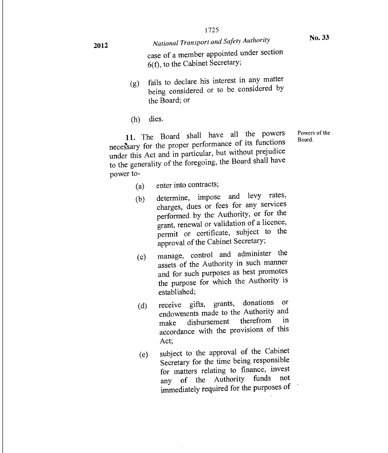*National Transport and Safety Authority*  case of a member appointed under section 6(f), to the Cabinet Secretary;

- (g) fails to declare his interest in any matter being considered or to be considered by the Board; or
- (h) dies.

11. The Board shall have all the powers Powers of the necessary for the proper performance of its functions under this Act and in particular, but without prejudice to the generality of the foregoing, the Board shall have power to-

- (a) enter into contracts;
- (b) determine, impose and levy rates, charges, dues or fees for any services performed by the Authority, or for the grant, renewal or validation of a licence, permit or certificate, subject to the approval of the Cabinet Secretary;
- (c) manage, control and administer the assets of the Authority in such manner and for such purposes as best promotes the purpose for which the Authority is established;
- (d) receive gifts, grants, donations or endowments made to the Authority and<br>make disbursement therefrom in make disbursement accordance with the provisions of this Act;
- (e) subject to the approval of the Cabinet Secretary for the time being responsible for matters relating to finance, invest any of the Authority funds not immediately required for the purposes of

**2012**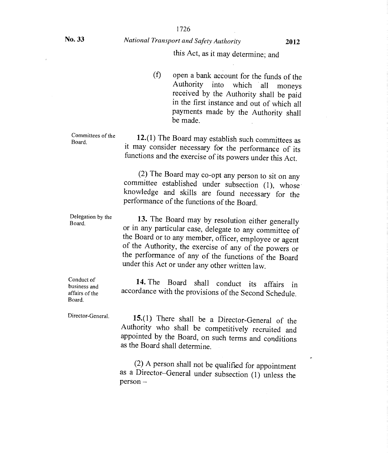#### No. 33 *National Transport and Safety Authority* **<sup>2012</sup>**

#### this Act, as it may determine; and

(f) open a bank account for the funds of the Authority into which all moneys received by the Authority shall be paid in the first instance and out of which all payments made by the Authority shall be made.

Committees of the Board.

12.(1) The Board may establish such committees as it may consider necessary for the performance of its functions and the exercise of its powers under this Act.

(2) The Board may co-opt any person to sit on any committee established under subsection (1), whose knowledge and skills are found necessary for the performance of the functions of the Board.

Delegation by the Board.

13. The Board may by resolution either generally or in any particular case, delegate to any committee of the Board or to any member, officer, employee or agent of the Authority, the exercise of any of the powers or the performance of any of the functions of the Board under this Act or under any other written law.

Conduct of business and affairs of the Board.

14. The Board shall conduct its affairs in accordance with the provisions of the Second Schedule.

Director-General.

15.(1) There shall be a Director-General of the Authority who shall be competitively recruited and appointed by the Board, on such terms and conditions as the Board shall determine.

(2) A person shall not be qualified for appointment as a Director—General under subsection (1) unless the person —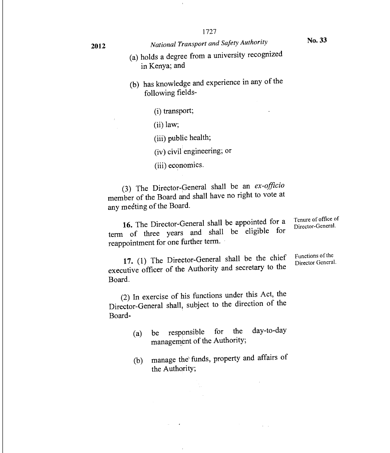Functions of the Director General.

- (a) holds a degree from a university recognized in Kenya; and
- (b) has knowledge and experience in any of the following fields-
	- (i) transport;
	- (ii) law;
	- (iii) public health;
	- (iv) civil engineering; or
	- (iii) economics.

(3) The Director-General shall be an *ex-officio*  member of the Board and shall have no right to vote at any meeting of the Board.

16. The Director-General shall be appointed for a term of three years and shall be eligible for reappointment for one further term. Tenure of office of Director-General.

17. (1) The Director-General shall be the chief executive officer of the Authority and secretary to the Board.

(2) In exercise of his functions under this Act, the Director-General shall, subject to the direction of the Board-

- (a) be responsible for the day-to-day management of the Authority;
- (b) manage the funds, property and affairs of the Authority;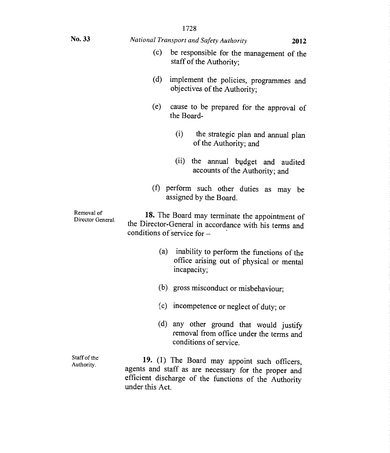| 1728                                                                                                     |                                                                                                                                                               |  |  |  |
|----------------------------------------------------------------------------------------------------------|---------------------------------------------------------------------------------------------------------------------------------------------------------------|--|--|--|
| No. 33                                                                                                   | National Transport and Safety Authority<br>2012                                                                                                               |  |  |  |
|                                                                                                          | (c)<br>be responsible for the management of the<br>staff of the Authority;                                                                                    |  |  |  |
| (d)<br>implement the policies, programmes and<br>objectives of the Authority;                            |                                                                                                                                                               |  |  |  |
|                                                                                                          | (e)<br>cause to be prepared for the approval of<br>the Board-                                                                                                 |  |  |  |
|                                                                                                          | (i)<br>the strategic plan and annual plan<br>of the Authority; and                                                                                            |  |  |  |
|                                                                                                          | (ii)<br>the annual budget and audited<br>accounts of the Authority; and                                                                                       |  |  |  |
| (f) perform such other duties as may be<br>assigned by the Board.                                        |                                                                                                                                                               |  |  |  |
| Removal of<br>Director General.                                                                          | 18. The Board may terminate the appointment of<br>the Director-General in accordance with his terms and<br>conditions of service for -                        |  |  |  |
| (a) inability to perform the functions of the<br>office arising out of physical or mental<br>incapacity; |                                                                                                                                                               |  |  |  |
|                                                                                                          | (b) gross misconduct or misbehaviour;                                                                                                                         |  |  |  |
|                                                                                                          | (c) incompetence or neglect of duty; or                                                                                                                       |  |  |  |
|                                                                                                          | (d) any other ground that would justify<br>removal from office under the terms and<br>conditions of service.                                                  |  |  |  |
| Staff of the<br>Authority.                                                                               | 19. (1) The Board may appoint such officers,<br>agents and staff as are necessary for the proper and<br>efficient discharge of the functions of the Authority |  |  |  |

under this Act.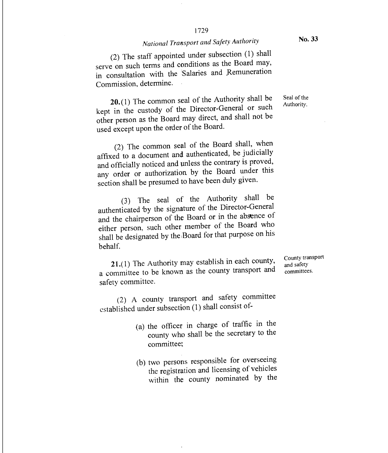### *National Transport and Safety Authority*

(2) The staff appointed under subsection (1) shall serve on such terms and conditions as the Board may, in consultation with the Salaries and Remuneration Commission, determine.

20.(1) The common seal of the Authority shall be kept in the custody of the Director-General or such other person as the Board may direct, and shall not be used except upon the order of the Board.

(2) The common seal of the Board shall, when affixed to a document and authenticated, be judicially and officially noticed and unless the contrary is proved, any order or authorization by the Board under this section shall be presumed to have been duly given.

(3) The seal of the Authority shall be authenticated 'by the signature of the Director-General and the chairperson of the Board or in the absence of either person, such other member of the Board who shall be designated by the Board for that purpose on his behalf.

21.(1) The Authority may establish in each county, a committee to be known as the county transport and safety committee.

(2) A county transport and safety committee established under subsection (1) shall consist of-

- (a) the officer in charge of traffic in the county who shall be the secretary to the committee;
- (b) two persons responsible for overseeing the registration and licensing of vehicles within the county nominated by the

County transport and safety committees.

Seal of the Authority.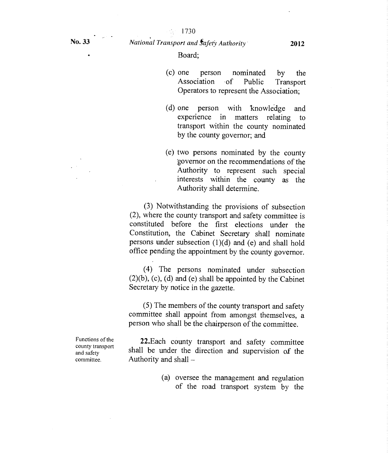$\mathcal{L}_{\mathcal{A}}^{\mathcal{A}}$  .

Board;

- (c) one person nominated by the Association of Public Transport Operators to represent the Association;
- (d) one person with knowledge and experience in matters relating to transport within the county nominated by the county governor; and
- (e) two persons nominated by the county governor on the recommendations of the Authority to represent such special interests within the county as the Authority shall determine.

(3) Notwithstanding the provisions of subsection (2), where the county transport and safety committee is constituted before the first elections under the Constitution, the Cabinet Secretary shall nominate persons under subsection (1)(d) and (e) and shall hold office pending the appointment by the county governor.

(4) The persons nominated under subsection (2)(b), (c), (d) and (e) shall be appointed by the Cabinet Secretary by notice in the gazette.

(5) The members of the county transport and safety committee shall appoint from amongst themselves, a person who shall be the chairperson of the committee.

22.Each county transport and safety committee shall be under the direction and supervision of the Authority and shall —

> (a) oversee the management and regulation of the road transport system by the

Functions of the county transport and safety committee.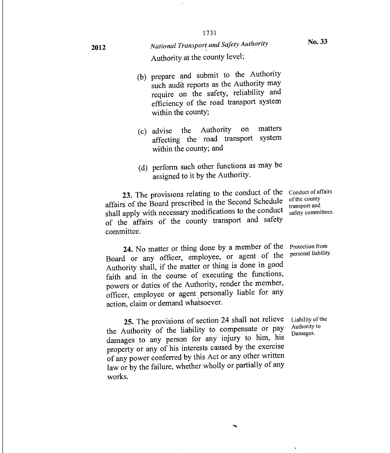- (b) prepare and submit to the Authority such audit reports as the Authority may require on the safety, reliability and efficiency of the road transport system within the county;
- (c) advise the Authority on matters<br>offecting the road transport system affecting the road transport within the county; and
- (d) perform such other functions as may be assigned to it by the Authority.

**23.** The provisions relating to the conduct of the  $\overline{C}$  conduct of affairs affairs of the Board prescribed in the Second Schedule shall apply with necessary modifications to the conduct of the affairs of the county transport and safety committee.

of the county transport and safety committees.

Protection from personal liability.

24. No matter or thing done by a member of the Board or any officer, employee, or agent of the Authority shall, if the matter or thing is done in good faith and in the course of executing the functions, powers or duties of the Authority, render the member, officer, employee or agent, personally liable for any action, claim or demand whatsoever.

25. The provisions of section 24 shall not relieve the Authority of the liability to compensate or pay damages to any person for any injury to him, his property or any of his interests caused by the exercise of any power conferred by this Act or any other written law or by the failure, whether wholly or partially of any works.

Liability of the Authority to Damages.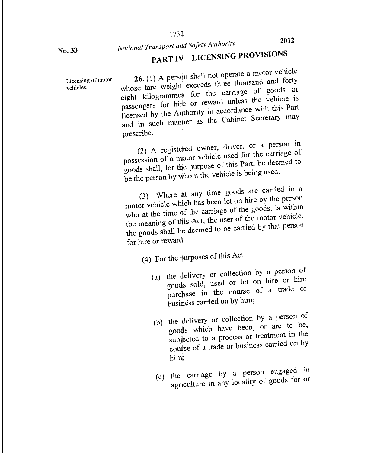**No. 33** 

# *National Transport and Safety Authority*

# PART IV — LICENSING PROVISIONS

Licensing of motor vehicles.

26. (1) A person shall not operate a motor vehicle whose tare weight exceeds three thousand and forty eight kilogrammes for the carriage of goods or passengers for hire or reward unless the vehicle is licensed by the Authority in accordance with this Part and in such manner as the Cabinet Secretary may prescribe.

(2) A registered owner, driver, or a person in possession of a motor vehicle used for the carriage of goods shall, for the purpose of this Part, be deemed to be the person by whom the vehicle is being used.

(3) Where at any time goods are carried in a motor vehicle which has been let on hire by the person who at the time of the carriage of the goods, is within the meaning of this Act, the user of the motor vehicle, the goods shall be deemed to be carried by that person for hire or reward.

(4) For the purposes of this Act –

- (a) the delivery or collection by a person of goods sold, used or let on hire or hire purchase in the course of a trade or business carried on by him;
- (b) the delivery or collection by a person of goods which have been, or are to be, subjected to a process or treatment in the course of a trade or business carried on by him;
- (c) the carriage by a person engaged in agriculture in any locality of goods for or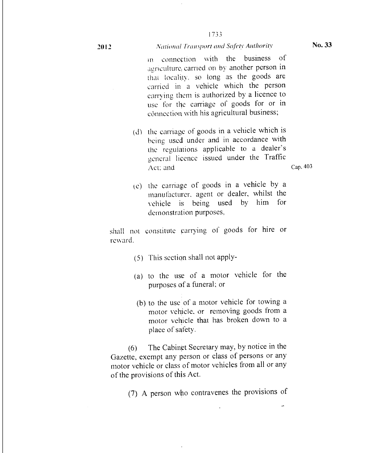#### 2012 *National Transport and Safety Authority* No. 33

in connection with the business of agriculture, carried on by another person in that locality, so long as the goods are carried in a vehicle which the person carrying them is authorized by a licence to use for the carriage of goods for or in connection with his agricultural business;

- (d) the carriage of goods in a vehicle which is being. used under and in accordance with the regulations applicable to a dealer's general licence issued under the Traffic Act: and Cap. 403
- $(c)$  the carriage of goods in a vehicle by a manufacturer, agent or dealer, whilst the vehicle is being used by him for demonstration purposes,

shall not constitute carrying of goods for hire or reward.

- (5) This section shall not apply-
- (a) to the use of a motor vehicle for the purposes of a funeral; or
- (b) to the use of a motor vehicle for towing a motor vehicle, or removing goods from a motor vehicle that has broken down to a place of safety.

(6) The Cabinet Secretary may, by notice in the Gazette, exempt any person or class of persons or any motor vehicle or class of motor vehicles from all or any of the provisions of this Act.

(7) A person who contravenes the provisions of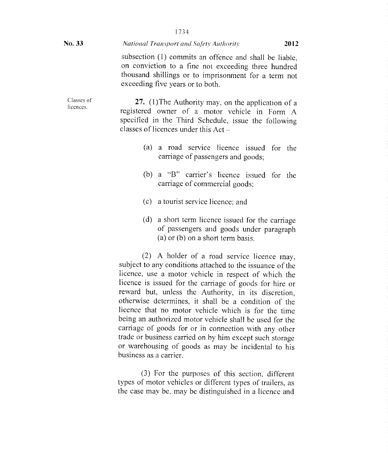| No. 33                  | <b>National Transport and Safety Authority</b>                                                                                                                                                                                                                                                                                                                                                                                                                 |  |  |  |
|-------------------------|----------------------------------------------------------------------------------------------------------------------------------------------------------------------------------------------------------------------------------------------------------------------------------------------------------------------------------------------------------------------------------------------------------------------------------------------------------------|--|--|--|
|                         | subsection (1) commits an offence and shall be liable,<br>on conviction to a fine not exceeding three hundred<br>thousand shillings or to imprisonment for a term not<br>exceeding five years or to both.                                                                                                                                                                                                                                                      |  |  |  |
| Classes of<br>licences. | 27. (1) The Authority may, on the application of a<br>registered owner of a motor vehicle in Form A<br>specified in the Third Schedule, issue the following<br>classes of licences under this Act -                                                                                                                                                                                                                                                            |  |  |  |
|                         | a road service licence issued<br>(a)<br>for the<br>carriage of passengers and goods;                                                                                                                                                                                                                                                                                                                                                                           |  |  |  |
|                         | a "B" carrier's licence issued for the<br>(b)<br>carriage of commercial goods;                                                                                                                                                                                                                                                                                                                                                                                 |  |  |  |
|                         | (c) a tourist service licence; and                                                                                                                                                                                                                                                                                                                                                                                                                             |  |  |  |
|                         | (d) a short term licence issued for the carriage<br>of passengers and goods under paragraph<br>(a) or (b) on a short term basis.                                                                                                                                                                                                                                                                                                                               |  |  |  |
|                         | (2) A holder of a road service licence may,<br>subject to any conditions attached to the issuance of the<br>licence, use a motor vehicle in respect of which the<br>licence is issued for the carriage of goods for hire or<br>reward but, unless the Authority, in its discretion,<br>otherwise determines, it shall be a condition of the<br>licence that 'no motor vehicle which is for the time<br>being an authorized motor vehicle shall be used for the |  |  |  |

carriage of goods for or in connection with any other trade or business carried on by him except such storage or warehousing of goods as may be incidental to his

types of motor vehicles or different types of trailers, as the case may be, may be distinguished in a licence and

(3) For the purposes of this section, different

business as a carrier.

1734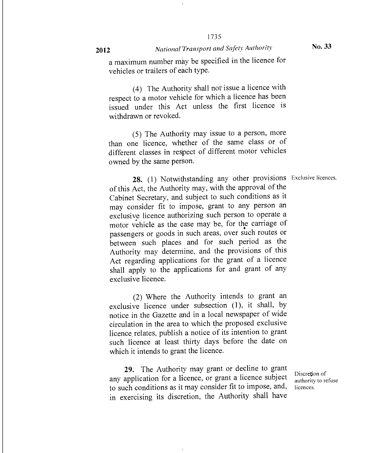#### 2012 *National Transport and Safety Authority*

No. 33

a maximum number may be specified in the licence for vehicles or trailers of each type.

(4) The Authority shall not issue a licence with respect to a motor vehicle for which a licence has been issued under this Act unless the first licence is withdrawn or revoked.

(5) The Authority may issue to a person, more than one licence, whether of the same class or of different classes in respect of different motor vehicles owned by the same person.

28. (1) Notwithstanding any other provisions Exclusive licences. of this Act, the Authority may, with the approval of the Cabinet Secretary, and subject to such conditions as it may consider fit to impose, grant to any person an exclusive licence authorizing such person to operate a motor vehicle as the ease may be, for the carriage of passengers or goods in such areas, over such routes or between such places and for such period as the Authority may determine, and the provisions of this Act regarding applications for the grant of a licence shall apply to the applications for and grant of any exclusive licence.

(2) Where the Authority intends to grant an exclusive licence under subsection (1), it shall, by notice in the Gazette and in a local newspaper of wide circulation in the area to which the proposed exclusive licence relates, publish a notice of its intention to grant such licence at least thirty days before the date on which it intends to grant the licence.

29. The Authority may grant or decline to grant any application for a licence, or grant a licence subject to such conditions as it may consider fit to impose, and, in exercising its discretion, the Authority shall have

Discretion of authority to refuse licences.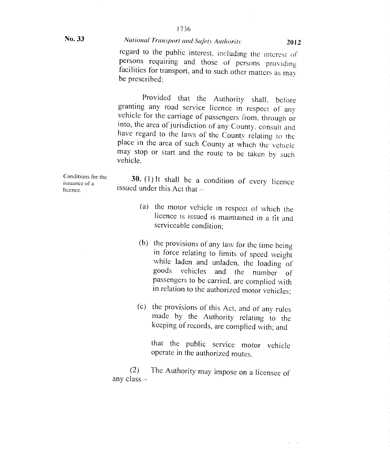No. 33

#### *National Transport and Safety Authority 2012*

regard to the public interest, including the interest of persons requiring and those of persons providing facilities for transport, and to such other matters as may be prescribed:

Provided that the Authority shall, before granting any road service licence in respect of any vehicle for the carriage of passengers from, through or into, the area of jurisdiction of any County, consult and have regard to the laws of the County relating to the place in the area of such County at which the vehicle may stop or start and the route to be taken by such vehicle.

Conditions for the issuance of a

30. (1 ) It shall be a condition of every licence issued under this Act that —

- (a) the motor vehicle in respect of which the licence is issued is maintained in a tit and serviceable condition;
- (b) the provisions of any law for the time being in force relating to limits of speed weight while laden and unladen, the loading of goods vehicles and the number of passengers to be carried, are complied with in relation to the authorized motor vehicles;
- (c) the provisions of this Act, and of any rules made by the Authority relating to the keeping of records, are complied with; and

that the public service motor vehicle operate in the authorized routes.

(2) The Authority may impose on a licensee of any class —

licence.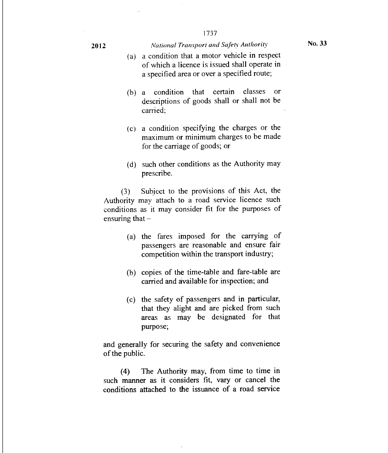#### **2012** *National Transport and Safety Authority* **No. 33**

- (a) a condition that a motor vehicle in respect of which a licence is issued shall operate in a specified area or over a specified route;
- (b) a condition that certain classes or descriptions of goods shall or shall not be carried;
- (c) a condition specifying the charges or the maximum or minimum charges to be made for the carriage of goods; or
- (d) such other conditions as the Authority may prescribe.

(3) Subject to the provisions of this Act, the Authority may attach to a road service licence such conditions as it may consider fit for the purposes of ensuring that  $-$ 

- (a) the fares imposed for the carrying of passengers are reasonable and ensure fair competition within the transport industry;
- (b) copies of the time-table and fare-table are carried and available for inspection; and
- (c) the safety of passengers and in particular, that they alight and are picked from such areas as may be designated for that purpose;

and generally for securing the safety and convenience of the public.

(4) The Authority may, from time to time in such manner as it considers fit, vary or cancel the conditions attached to the issuance of a road service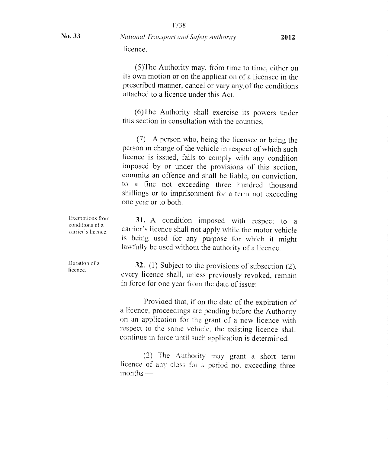No. 33 *National Transport and Safety Authority*  licence.

> $(5)$ The Authority may, from time to time, either on its own motion or on the application of a licensee in the prescribed manner, cancel or vary any, of the conditions attached to a licence under this Act.

> (6)The Authority shall exercise its powers under this section in consultation with the counties.

> (7) A person who, being the licensee or being the person in charge of the vehicle in respect of which such licence is issued, fails to comply with any condition imposed by or under the provisions of this section, commits an offence and shall be liable, on conviction, to a fine not exceeding three hundred thousand shillings or to imprisonment for a term not exceeding one year or to both.

Exemptions from conditions of a carrier's licence 31. A condition imposed with respect to a carrier's licence shall not apply while the motor vehicle is being used for any purpose for which it might lawfully be used without the authority of a licence.

> 32. (1) Subject to the provisions of subsection (2), every licence shall, unless previously revoked, remain in force for one year from the date of issue:

> Provided that, if on the date of the expiration of a licence, proceedings are pending before the Authority on an application for the grant of a new licence with respect to the same vehicle, the existing licence shall continue in force until such application is determined.

> (2) The Authority may grant a short term licence of any class for a period not exceeding three  $months$   $-$

Duration of a licence.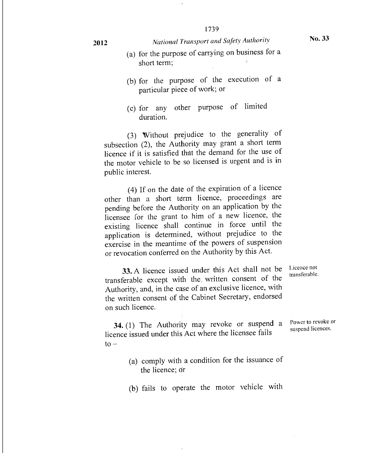### <sup>2012</sup>*National Transport and Safety Authority*

- No. 33
- (a) for the purpose of carrying on business for a short term;
- (b) for the purpose of the execution of a particular piece of work; or
- (c) for any other purpose of limited duration.

(3) Without prejudice to the generality of subsection (2), the Authority may grant a short term licence if it is satisfied that the demand for the use of the motor vehicle to be so licensed is urgent and is in public interest.

(4) If on the date of the expiration of a licence other than a short tdrm licence, proceedings are pending before the Authority on an application by the licensee for the grant to him of a new licence, the existing licence shall continue in force until the application is determined, without prejudice to the exercise in the meantime of the powers of suspension or revocation conferred on the Authority by this Act.

33. A licence issued under this Act shall not be transferable except with the written consent of the Authority, and, in the case of an exclusive licence, with the written consent of the Cabinet Secretary, endorsed on such licence.

Licence not transferable.

Power to revoke or suspend licences.

34. (1) The Authority may revoke or suspend a licence issued under this Act where the licensee fails  $to -$ 

> (a) comply with a condition for the issuance of the licence; dr

> (b) fails to operate the motor vehicle with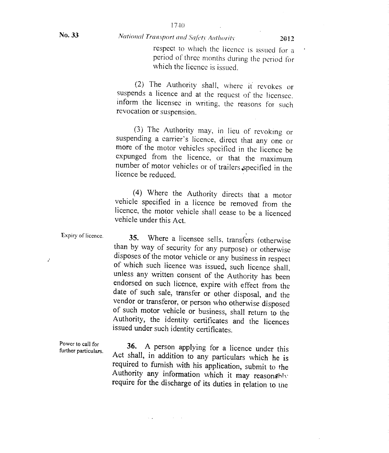#### *National Transport and Safety Authority* 11 **12012**

respect to which the licence is issued for a period of three months during the period for which the licence is issued.

(2) The Authority shall, where it revokes or suspends a licence and at the request of the licensee, inform the licensee in writing, the reasons foi such revocation or suspension.

(3) The Authority may, in lieu of revoking or suspending a carrier's licence, direct that any one or more of the motor vehicles specified in the licence be expunged from the licence, or that the maximum number of motor vehicles or of trailers specified in the licence be reduced.

(4) Where the Authority directs that a motor vehicle specified in a licence be removed from the licence, the motor vehicle shall cease to be a licenced vehicle under this Act.

Expiry of licence.

J.

35. Where a licensee sells, transfers (otherwise than by way of security for any purpose) or otherwise disposes of the motor vehicle or any business in respect of which such licence was issued, such licence shall, unless any written consent of the Authority has been endorsed on such licence, expire with effect from the date of such sale, transfer or other disposal, and the vendor or transferor, or person who otherwise disposed of such motor vehicle or business, shall return to the Authority, the identity certificates and the licences issued under such identity certificates.

Power to call for further particulars.

36. A person applying for a licence under this Act shall, in addition to any particulars which he is required to furnish with his application, submit to the Authority any information which it may reasonably require for the discharge of its duties in relation to the

service and the control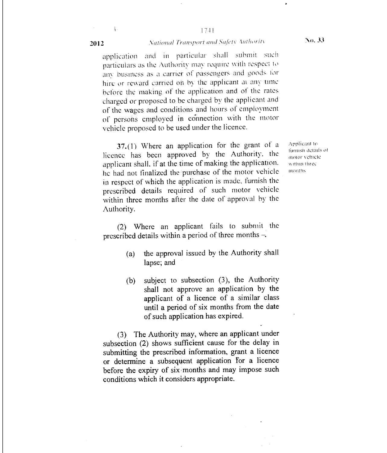#### 17-41 2012 **National Transport and Safety Authority No. 33**

application and in particular shall submit such particulars as the Authority may require with respect to any business as a carrier of passengers and goods for hire or reward carried oh by the applicant at any time before the making of the application and of the rates charged or proposed to be charged by the applicant and of the wages and conditions and hours of employment of persons employed in connection with the motor vehicle proposed to be used under the licence.

37.(1) Where an application for the grant of a licence has been approved by the Authority, the applicant shall. if at the time of making the application. he had not finalized the purchase of the motor vehicle in respect of which the application is made, furnish the prescribed details required of such motor vehicle within three months after the date of approval by the Authority.

(2) Where an applicant fails to submit the prescribed details within a period of three months

- (a) the approval issued by the Authority shall lapse; and
- (b) subject to subsection (3), the Authority shall not approve an application by the applicant of a licence of a similar class until a period of six months from the date of such application has expired.

(3) The Authority may, where an applicant under subsection (2) shows sufficient cause for the delay in submitting the prescribed information, grant a licence or determine a subsequent application For a licence before the expiry of six months and may impose such conditions which it considers appropriate.

Applicant to runtish details of motor vehicle \\ !thin three months

¥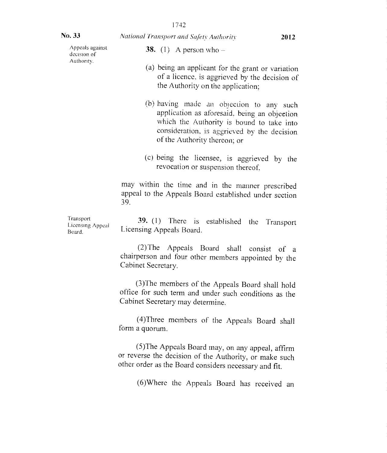| No. 33                                  | National Transport and Safety Authority<br>2012                                                                                                                                                                      |  |
|-----------------------------------------|----------------------------------------------------------------------------------------------------------------------------------------------------------------------------------------------------------------------|--|
| Appeals against<br>decision of          | 38. (1) A person who $-$                                                                                                                                                                                             |  |
| Authority.                              | (a) being an applicant for the grant or variation<br>of a licence, is aggrieved by the decision of<br>the Authority on the application;                                                                              |  |
|                                         | (b) having made an objection to any such<br>application as aforesaid, being an objection<br>which the Authority is bound to take into<br>consideration, is aggrieved by the decision<br>of the Authority thereon; or |  |
|                                         | (c) being the licensee, is aggrieved by the<br>revocation or suspension thereof,                                                                                                                                     |  |
|                                         | may within the time and in the manner prescribed<br>appeal to the Appeals Board established under section<br>39.                                                                                                     |  |
| Transport<br>Licensing Appeal<br>Board. | 39. (1) There is established the<br>Transport<br>Licensing Appeals Board.                                                                                                                                            |  |
|                                         | (2) The Appeals Board shall consist of a<br>chairperson and four other members appointed by the<br>Cabinet Secretary.                                                                                                |  |
|                                         | (3) The members of the Appeals Board shall hold<br>office for such term and under such conditions as the<br>Cabinet Secretary may determine.                                                                         |  |
|                                         | (4) Three members of the Appeals Board shall<br>form a quorum.                                                                                                                                                       |  |
|                                         | (5) The Appeals Board may, on any appeal, affirm<br>or reverse the decision of the Authority, or make such<br>other order as the Board considers necessary and fit.                                                  |  |
|                                         | (6) Where the Appeals Board has received an                                                                                                                                                                          |  |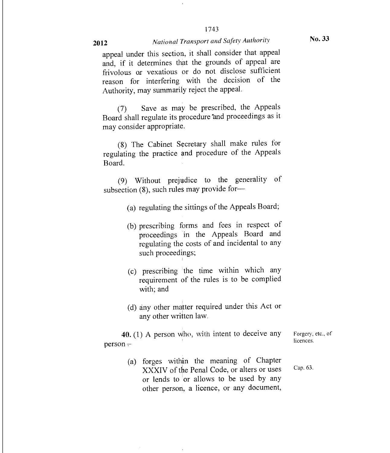#### 2012 *National Transport and Safety Authority*

1743

appeal under this section, it shall consider that appeal and, if it determines that the grounds of appeal are frivolous or vexatious or do not disclose sufficient reason for interfering with the decision of the Authority, may summarily reject the appeal.

(7) Save as may be prescribed, the Appeals Board shall regulate its procedure and proceedings as it may consider appropriate.

(8) The Cabinet Secretary shall make rules for regulating the practice and procedure of the Appeals Board.

(9) Without prejudice to the generality of subsection (8), such rules may provide for—

- (a) regulating the sittings of the Appeals Board;
- (b) prescribing forms and fees in respect of proceedings in the Appeals Board and regulating the costs of and incidental to any such proceedings;
- $(c)$  prescribing the time within which any requirement of the rules is to be complied with; and
- (d) any other matter required under this Act or any other written law.

40. (1) A person Who, with intent to deceive any person

> (a) forges within the meaning of Chapter XXXIV of the Penal Code, or alters or uses or lends to or allows to be used by any other person, a licence, or any document, Cap. 63.

Forgery, etc., of licences.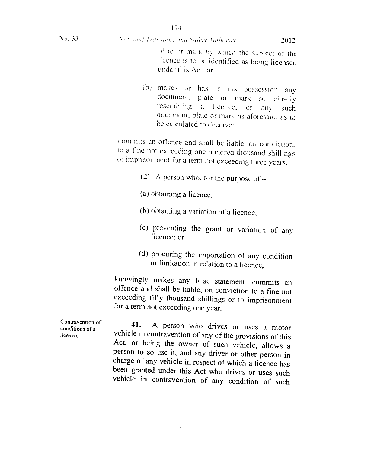**Vo. 33 Victorial Fransport and Safety Authority <b>2012** 

plate or mark by which the subject of the licence is to be identified as being licensed under this Act; or

(b) makes or has in his possession any document. plate or mark so closely resembling a licence. or any such document, plate or mark as aforesaid, as to be calculated to deceive:

commits an offence and shall be liable. on conviction. to a tine not exceeding one hundred thousand shillings or imprisonment for a term not exceeding three years.

(2) A person who, for the purpose of  $-$ 

(a) obtaining a licence;

(b) obtaining a variation of a licence;

- (c) preventing the grant or variation of any licence; or
- (d) procuring the importation of any condition or limitation in relation to a licence,

knowingly makes any false statement, commits an offence and shall be liable, on conviction to a fine not exceeding fifty thousand shillings or to imprisonment for a term not exceeding one year.

**41.** A person who drives or uses a motor vehicle in contravention of any of the provisions of this Act, or being the owner of such vehicle, allows a person to so use it, and any driver or other person in charge of any vehicle in respect of which a licence has been granted under this Act who drives or uses such vehicle in contravention of any condition of such

Contravention of conditions of a licence.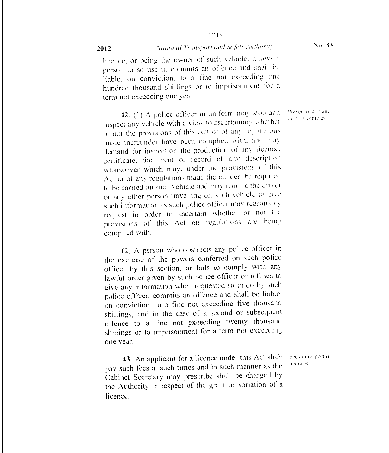#### 2012 **National Transport and Safety Authority No. 33**

licence, or being the owner of such vehicle, allows a person to so use it, commits an offence and shall be liable, on conviction, to a fine not exceeding. One hundred thousand shillings or to imprisonment for a term not exceeding one year.

**42.** (1) A police officer in uniform may stop and  $\frac{P_{\text{over to stop an}}}{m_{\text{spock}} \times m_{\text{eff}}}\$ inspect any vehicle with a view to ascertaining wheiher or not the provisions of this Act or of any regulations made thereunder have been complied with, and may demand for inspection the production of any licence, certificate, document or record of any description whatsoever which may, under the provisions of this Act or of any regulations made thereunder. he required to be carried on such vehicle and may require the driver or any other person travelling on such vehicle to give such information as such police officer may reasonably request in order to ascertain whether or not the provisions of this Act on regulations are being complied with.

(2) A person who obstructs any police officer in the exercise of the powers conferred on such police officer by this section,, or fails to comply with any lawful order given by such police officer or refuses to give any information when requested so to do by such police officer, commits an offence and shall be liable. on conviction, to a tine not exceeding five thousand shillings, and in the case of a second or subsequent offence to a fine not exceeding twenty thousand shillings or to imprisonment for a term not exceeding one year.

43. An applicant for a licence under this Act shall pay such fees at such times and in such manner as the Cabinet Secretary may prescribe shall be charged by the Authority in respect of the grant or variation of a licence.

Fees in respect of licences.

Power to stop and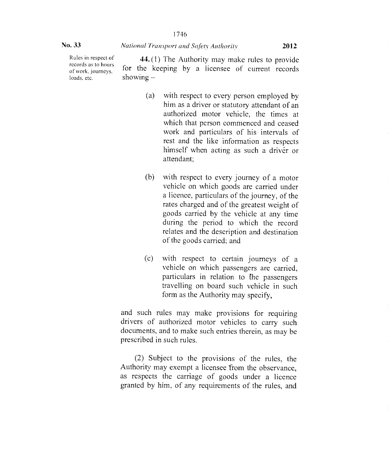Rules in respect of records as to hours of work, journeys, loads, etc.

44. (l) The Authority may make rules to provide for the keeping by a licensee of current records showing —

- (a) with respect to every person employed by him as a driver or statutory attendant of an authorized motor vehicle, the times at which that person commenced and ceased work and particulars of his intervals of rest and the like information as respects himself when acting as such a driver or attendant;
- (b) with respect to every journey of a motor vehicle on which goods are carried under a licence, particulars of the journey, of the rates charged and of the greatest weight of goods carried by the vehicle at any time during the period to which the record relates and the description and destination of the goods carried; and
- (c) with respect to certain journeys of a vehicle on which passengers are carried, particulars in relation to the passengers travelling on board such vehicle in such form as the Authority may specify,

and such rules may make provisions for requiring drivers of authorized motor vehicles to carry such documents, and to make such entries therein, as may be prescribed in such rules.

(2) Subject to the provisions of the rules, the Authority may exempt a licensee from the observance, as respects the carriage of goods under a licence granted by him, of any requirements of the rules, and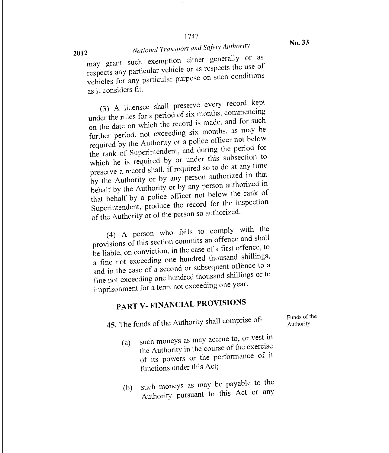# *National Transport and Safety Authority*

may grant such exemption either generally or as respects any particular vehicle or as respects the use of vehicles for any particular purpose on such conditions as it considers fit.

(3) A licensee shall preserve every record kept under the rules for a period of six months, commencing on the date on which the record is made, and for such further period, not exceeding six months, as may be required by the Authority or a police officer not below the rank of Superintendent, and during the period for which he is required by or under this subsection to preserve a record shall, if required so to do at any time by the Authority or by any person authorized in that behalf by the Authority or by any person authorized in that behalf by a police officer not below the rank of Superintendent, produce the record for the inspection of the Authority or of the person so authorized.

(4) A person who fails to comply with the provisions of this section commits an offence and shall be liable, on conviction, in the case of a first offence, to a fine not exceeding one hundred thousand shillings, and in the case of a second or subsequent offence to a fine not exceeding one hundred thousand shillings or to imprisonment for a term not exceeding one year.

# PART V- FINANCIAL PROVISIONS

45. The funds of the Authority shall comprise of-

- Funds of the Authority.
- (a) such moneys as may accrue to, or vest in the Authority in the course of the exercise of its powers or the performance of it functions under this Act;
- (b) such moneys as may be payable to the Authority pursuant to this Act or any

No. 33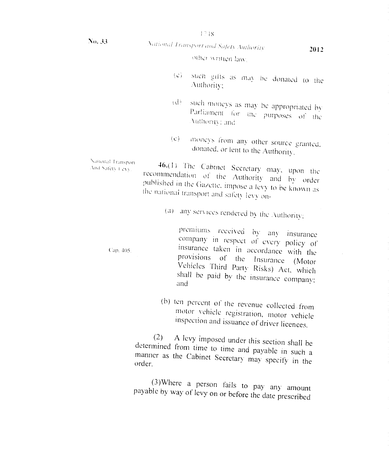I 7 IS

# *National Fransport and Safety Authority* **2012**

other written law.

- such gifts as may be donated to the  $\{C\}$ Authority:
- (d) such moneys as may be appropriated by Parliament for the purposes of the \uthorrit,.. and
- (e) inconcys from any other source granted, donated. or lent to the Authority.

 $46(1)$  The Cabinet Secretary may, upon the recommendation of the Authority and by order published in the Gazette, impose a levy to be known as ihc national transport and safety levy on- National Transport<br>And Safety Levy,

(a) any services rendered by the .Authority:

premiums received by any insurance company in respect of every policy of Cap. 405. **insurance** taken in accordance with the provisions of the Insurance (Motor Vehicles Third Party Risks) Act, which shall be paid by the insurance company; and

> (b) ten percent of the revenue collected from motor vehicle registration, motor vehicle inspection and issuance of driver licences.

(2) A levy imposed under this section shall be determined from time to time and payable in such a manner as the Cabinet Secretary may specify in the order.

(3)Where a person fails to pay any amount payable by way of levy on or before the date prescribed

No. 33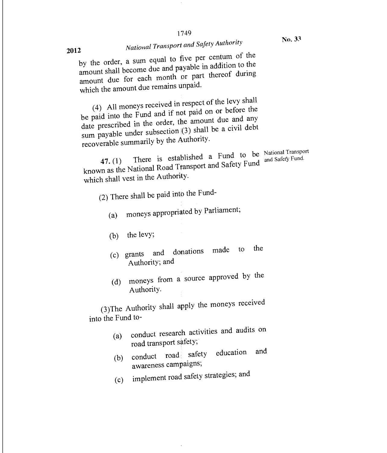# *National Transport and Safety Authority*

by the order, a sum equal to five per centum of the amount shall become due and payable in addition to the amount due for each month or part thereof during<br>which the amount due remains unpaid.

(4) All moneys received in respect of the levy shall be paid into the Fund and if not paid on or before the date prescribed in the order, the amount due and any sum payable under subsection (3) shall be a civil debt recoverable summarily by the Authority.

47. (1) There is established a Fund to be<br> $\frac{1}{2}$  There are defined Safety Fund known as the National Road Transport and Safety Fund which shall vest in the Authority.

(2) There shall be paid into the Fund-

- (a) moneys appropriated by Parliament;
- (b) the levy;
- (c) grants and donations made to the Authority; and
- (d) moneys from a source approved by the Authority.

(3)The Authority shall apply the moneys received into the Fund to-

- (a) conduct research activities and audits on road transport safety;
- (b) conduct road safety education and awareness campaigns;
- (c) implement road safety strategies; and

**2012** 

National Transport <sub>and</sub> Safety Fund.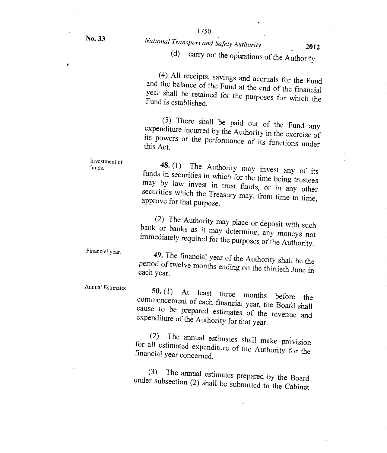þ

# 1750 No. 33 *National Transport and Safety Authority* <sup>2012</sup>

carry out the operations of the Authority.

(4) All receipts, savings and accruals for the Fund and the balance of the Fund at the end of the financial year shall be retained for the purposes for which the Fund is established.

(5) There shall be paid out of the Fund any expenditure incurred by the Authority in the exercise of its powers or the performance of its functions under this Act.

Investment of **48.** (1) The Authority may invest any of its funds in securities in which for the time being trustees may by law invest in trust funds, or in any other securities which the Treasury may, from time to time, approve for that purpose.

> (2) The Authority may place or deposit with such bank or banks as it may determine, any moneys not immediately required for the purposes of the Authority.

Financial year.

funds.

49. The financial year of the Authority shall be the period of twelve months ending on the thirtieth June in each year.

Annual Estimates.

**50. (1)** At least three months before the commencement of each financial year, the Boaril shall cause to be prepared estimates of the revenue and expenditure of the Authority for that year.

(2) The annual estimates shall make provision for all estimated expenditure of the Authority for the financial year concerned.

(3) The annual estimates prepared by the Board under subsection (2) shall be submitted to the Cabinet

 $\ddot{\phantom{0}}$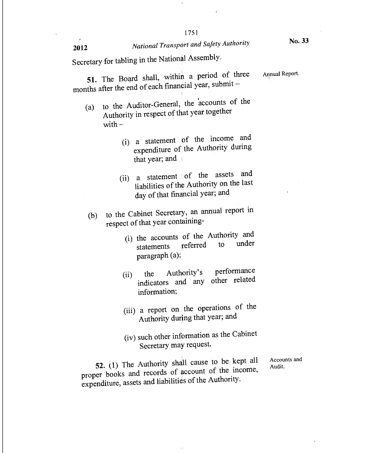# **2012** *National Transport and Safety Authority* **No. 33**

Secretary for tabling in the National Assembly.

51. The Board shall, within a period of three Annual Report. months after the end of each financial year, submit —

- (a) to the Auditor-General, the accounts of the Authority in respect of that year together with  $-$ 
	- (i) a statement of the income and expenditure of the Authority during that year; and
	- (ii) a statement of the assets and liabilities of the Authority on the last day of that financial year; and
- (b) to the Cabinet Secretary, an annual report in respect of that year containing
	- the accounts of the Authority and (1) the accounts of the ridiancy,<br>statements referred to under paragraph (a);
	- (ii) the Authority's performance indicators and any other related information;
	- (iii) a report on the operations of the Authority during that year; and
	- (iv) such other information as the Cabinet Secretary may request.

**52.** (1) The Authority shall cause to be kept all proper books and records of account of the income, expenditure, assets and liabilities of the Authority.

Accounts and Audit.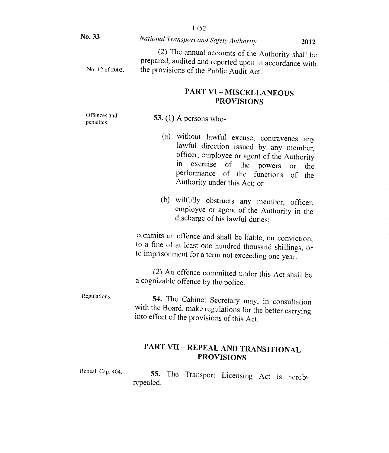|                            | 1752                                                                                                                                                                                                                                                                              |  |  |
|----------------------------|-----------------------------------------------------------------------------------------------------------------------------------------------------------------------------------------------------------------------------------------------------------------------------------|--|--|
| No. 33                     | National Transport and Safety Authority<br>2012                                                                                                                                                                                                                                   |  |  |
| No. 12 of 2003.            | (2) The annual accounts of the Authority shall be<br>prepared, audited and reported upon in accordance with<br>the provisions of the Public Audit Act.                                                                                                                            |  |  |
|                            | <b>PART VI - MISCELLANEOUS</b><br><b>PROVISIONS</b>                                                                                                                                                                                                                               |  |  |
| Offences and<br>penalties. | 53. (1) A persons who-                                                                                                                                                                                                                                                            |  |  |
|                            | (a)<br>without lawful excuse, contravenes any<br>lawful direction issued by any member,<br>officer, employee or agent of the Authority<br>$\mathbf{in}$<br>exercise<br>of the<br>powers<br>the<br>or<br>performance of the functions<br>of<br>the<br>Authority under this Act; or |  |  |
|                            | (b)<br>wilfully obstructs any member, officer,<br>employee or agent of the Authority in the<br>discharge of his lawful duties;                                                                                                                                                    |  |  |
|                            | commits an offence and shall be liable, on conviction,<br>to a fine of at least one hundred thousand shillings, or<br>to imprisonment for a term not exceeding one year.                                                                                                          |  |  |
|                            | (2) An offence committed under this Act shall be<br>a cognizable offence by the police.                                                                                                                                                                                           |  |  |
| Regulations.               | 54. The Cabinet Secretary may, in consultation<br>with the Board, make regulations for the better carrying<br>into effect of the provisions of this Act.                                                                                                                          |  |  |
|                            | <b>PART VII - REPEAL AND TRANSITIONAL</b><br><b>PROVISIONS</b>                                                                                                                                                                                                                    |  |  |
| Repeal. Cap. 404.          | <b>55.</b> The<br>Transport Licensing Act is hereby                                                                                                                                                                                                                               |  |  |

repealed.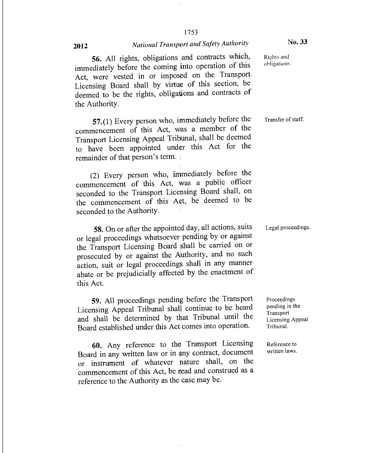### <sup>2012</sup>*National Transport and Safety Authority*

#### No. 33

56. All rights, obligations and contracts which, immediately before the coming into operation of this Act, were vested in or imposed on the Transport-Licensing Board shall by virtue of this section, be deemed to be the rights, obligations and contracts of the Authority.

57.(1) Every person who, immediately before the commencement of this Act, was a member of the Transport Licensing Appeal Tribunal, shall be deemed to have been appointed under this Act for the remainder of that person's term.

(2) Every person who, immediately before the commencement of this Act, was a public officer seconded to the Transport Licensing Board shall, on the commencement of this Act, be deemed to be seconded to the Authority.

58. On or after the appointed day, all actions, suits or legal proceedings whatsoever pending by or against the Transport Licensing Board shall be carried on or prosecuted by or against the Authority, and no such action, suit or legal proceedings shall in any manner abate or be prejudicially affected by the enactment of this Act.

59. All proceedings pending before the Transport Licensing Appeal Tribunal shall continue to be heard and shall be determined by that Tribunal until the Board established under this Act comes into operation.

60. Any reference to the Transport Licensing Board in any written law or in any contract, document or instrument of whatever mature shall, on the commencement of this Act, be read and construed as a reference to the Authority as the case may be.

Rights and ohligations-

Transfer of staff.

Legal proceedings.

Proceedings pending in the **Transport** Licensing Appeal Tribunal.

Reference to written laws.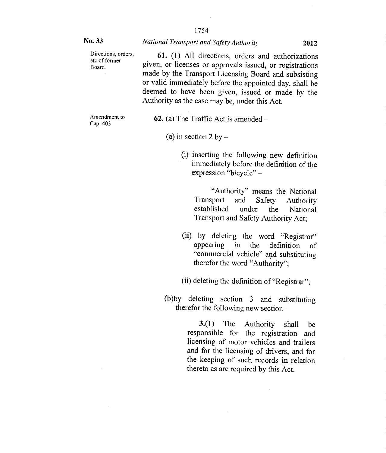| No. 33                                                                                                                            | National Transport and Safety Authority<br>2012                                                                                                                                                                                                                                                                                       |  |  |                                                                                                                                                                                                                                                                       |
|-----------------------------------------------------------------------------------------------------------------------------------|---------------------------------------------------------------------------------------------------------------------------------------------------------------------------------------------------------------------------------------------------------------------------------------------------------------------------------------|--|--|-----------------------------------------------------------------------------------------------------------------------------------------------------------------------------------------------------------------------------------------------------------------------|
| Directions, orders,<br>etc of former<br>Board.                                                                                    | 61. (1) All directions, orders and authorizations<br>given, or licenses or approvals issued, or registrations<br>made by the Transport Licensing Board and subsisting<br>or valid immediately before the appointed day, shall be<br>deemed to have been given, issued or made by the<br>Authority as the case may be, under this Act. |  |  |                                                                                                                                                                                                                                                                       |
| Amendment to<br>Cap. 403                                                                                                          | <b>62.</b> (a) The Traffic Act is amended $-$                                                                                                                                                                                                                                                                                         |  |  |                                                                                                                                                                                                                                                                       |
|                                                                                                                                   | (a) in section 2 by $-$                                                                                                                                                                                                                                                                                                               |  |  |                                                                                                                                                                                                                                                                       |
|                                                                                                                                   | (i) inserting the following new definition<br>immediately before the definition of the<br>expression "bicycle" -                                                                                                                                                                                                                      |  |  |                                                                                                                                                                                                                                                                       |
|                                                                                                                                   | "Authority" means the National<br>Transport<br>and<br>Safety<br>Authority<br>established<br>under the National<br>Transport and Safety Authority Act;                                                                                                                                                                                 |  |  |                                                                                                                                                                                                                                                                       |
|                                                                                                                                   | (ii) by deleting the word "Registrar"<br>appearing in the definition<br>of<br>"commercial vehicle" and substituting<br>therefor the word "Authority";                                                                                                                                                                                 |  |  |                                                                                                                                                                                                                                                                       |
| (ii) deleting the definition of "Registrar";<br>(b)by deleting section 3 and substituting<br>therefor the following new section - |                                                                                                                                                                                                                                                                                                                                       |  |  |                                                                                                                                                                                                                                                                       |
|                                                                                                                                   |                                                                                                                                                                                                                                                                                                                                       |  |  | 3(1)<br>The<br><b>Authority</b><br>shall<br>be<br>responsible for the registration<br>and<br>licensing of motor vehicles and trailers<br>and for the licensing of drivers, and for<br>the keeping of such records in relation<br>thereto as are required by this Act. |
|                                                                                                                                   |                                                                                                                                                                                                                                                                                                                                       |  |  |                                                                                                                                                                                                                                                                       |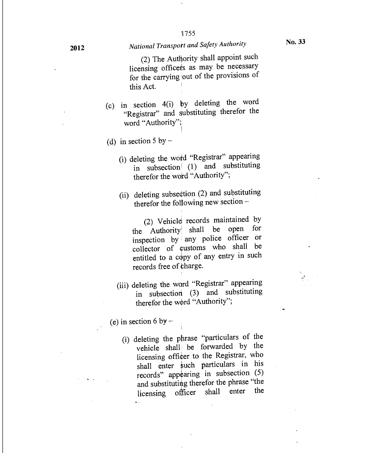### **2012** *National Transport and Safety Authority*

(2) The Authority shall appoint such licensing officers as may be necessary for the carrying out of the provisions of this Act.

- (c) in section 4(i) by deleting the word "Registrar" and substituting therefor the word "Authority";
- (d) in section 5 by  $-$ 
	- (i) deleting the word "Registrar" appearing in subsection (1) and substituting therefor the word "Authority";
	- (ii) deleting subsection  $(2)$  and substituting therefor the following new section —

(2) Vehicle records maintained by the Authority shall be open for inspection by any police officer or collector of customs who shall be entitled to a copy of any entry in such records free of charge.

(iii) deleting the word "Registrar" appearing in subsection (3) and substituting therefor the word "Authority";

(e) in section 6 by  $-$ 

 $\ddot{\phantom{a}}$ 

(i) deleting the phrase "particulars of the vehicle shall be forwarded by the licensing officer to the Registrar, who shall enter such particulars in his records" appearing in subsection (5) and substituting therefor the phrase "the licensing officer shall enter the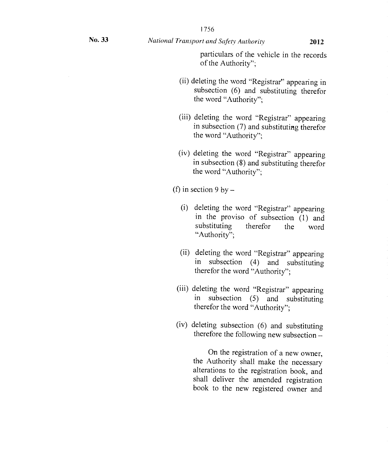1756

particulars of the vehicle in the records of the Authority";

- (ii) deleting the word "Registrar" appearing in subsection (6) and substituting therefor the word "Authority";
- (iii) deleting the word "Registrar" appearing in subsection (7) and substituting therefor the word "Authority";
- (iv) deleting the word "Registrar" appearing in subsection (8) and substituting therefor the word "Authority";

(f) in section 9 by  $-$ 

- (i) deleting the word "Registrar" appearing in the proviso of subsection (1) and substituting therefor the word "Authority";
- (ii) deleting the word "Registrar" appearing in subsection (4) and substituting therefor the word "Authority";
- (iii) deleting the word "Registrar" appearing in subsection (5) and substituting therefor the word "Authority";
- (iv) deleting subsection (6) and substituting therefore the following new subsection —

On the registration of a new owner, the Authority shall make the necessary alterations to the registration book, and shall deliver the amended registration book to the new registered owner and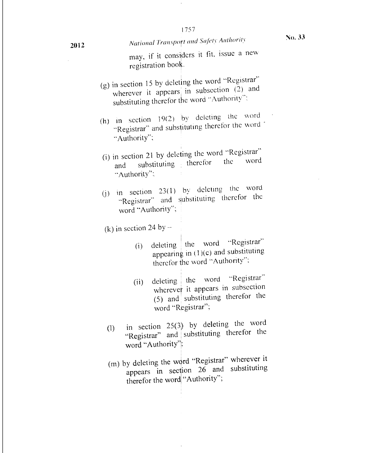may, if it considers it fit, issue a new registration book.

- (g) in section 15 by deleting the word "Registrar" wherever it appears in subsection  $(2)$  and substituting therefor the word "Authority":
- (h) in section 19(2) by deleting the word "Registrar" and substituting therefor the word "Authority";
- (i) in section 21 by deleting the word "Registrar"<br>the word the word and substituting therefor "Authority":,
- ) in section 23(1) by deleting the word "Registrar" and substituting therefor the word "Authority";

(k) in section 24 by  $-$ 

- (i) deleting the word "Registrar" appearing in (1)(c) and substituting therefor the word "Authority":
- (ii) deleting the word "Registrar" wherever it appears in subsection (5) and substituting therefor the word "Registrar";
- (1) in section 25(3) by deleting the word "Registrar" and substituting therefor the word "Authority";
- (m) by deleting the word "Registrar" wherever it appears in section 26 and substituting therefor the word "Authority";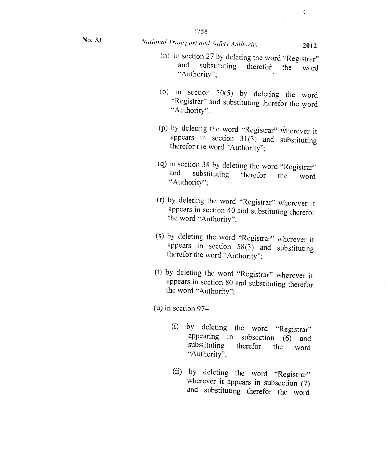# No. 33 **National Transport and Safety Authority 2012**

- (n) in section 27 by deleting the word "Registrar" and substituting therefor the word substituting therefor the word "Authority";
- (o) in section 30(5) by deleting the word "Registrar" and substituting therefor the word "Authority".
- (p) by deleting the word "Registrar" wherever it appears in section  $31(3)$  and substituting therefor the word "Authority";
- (q) in section 38 by deleting the word "Registrar" and substituting therefor the word "Authority";
- (r) by deleting the word "Registrar" wherever it appears in section 40 and substituting therefor the word "Authority";
- (s) by deleting the word "Registrar" wherever it appears in section  $58(3)$  and substituting therefor the word "Authority";
- (t) by deleting the word "Registrar" wherever it appears in section 80 and substituting therefor the word "Authority";

(u) in section 97—

- (i) by deleting the word "Registrar" appearing in subsection (6) and substituting therefor the word "Authority":
- (ii) by deleting the word "Registrar" wherever it appears in subsection (7) and substituting therefor the word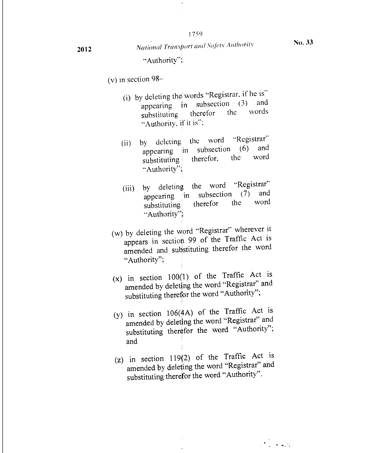"Authority";

- (v) in section  $98-$ 
	- (i) by deleting the words "Registrar, if he is"<br>appearing in subsection (3) and in subsection  $(3)$  and<br>therefor the words substituting therefor the "Authority, if it is";
	- (ii) by deleting the word "Registrar" appearing in subsection (6) and<br>substituting therefor, the word substituting "Authority";
	- (iii) by deleting the word "Registrar" appearing in subsection (7) and subsection  $(7)$  and<br>herefor the word substituting therefor the "Authority"
	- (w) by deleting the word "Registrar" wherever it appears in section 99 of the Traffic Act is amended and substituting therefor the word "Authority";
	- $(x)$  in section 100(1) of the Traffic Act is amended by deleting the word "Registrar" and substituting therefor the word "Authority";
	- (y) in section 106(4A) of the Traffic Act is amended by deleting the word "Registrar" and substituting therefor the word "Authority"; and
	- $(z)$  in section 119 $(2)$  of the Traffic Act is amended by deleting the word "Registrar" and substituting therefor the word "Authority".

 $\hat{\mathbf{r}}$ 

 $\mathbb{R}^4\to\mathbb{R}^4$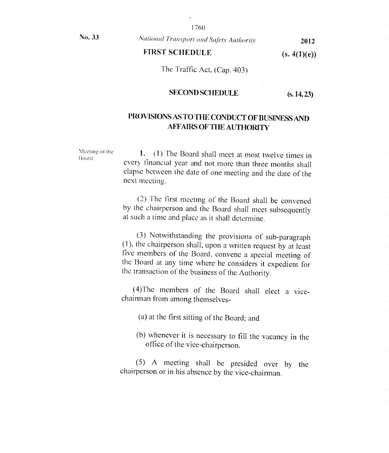1760

No. 33 *National Transport and Safety Authority* 2012

FIRST SCHEDULE (s. 4(1)(e))

The Traffic Act, (Cap. 403)

#### SECOND SCHEDULE (s. 14, 23)

#### PROVISIONS AS TO THE CONDUCT OF BUSINESS AND AFFAIRS OF THE AUTHORITY

Meeting of the Meeting of the  $\frac{1}{1}$ . (1) The Board shall meet at most twelve times in every financial year and not more than three months shall elapse between the date of one meeting and the date of the next meeting.

> (2) The first meeting of the Board shall be convened by the chairperson and the Board shall meet subsequently at such a time and place as it shall determine.

> (3) Notwithstanding the provisions of sub-paragraph (1), the chairperson shall, upon a written request by at least five members of the Board, convene a special meeting of the Board at any time where he considers it expedient for the transaction of the business of the Authority.

> (4)The members of the Board shall elect a vicechairman from among themselves-

(a) at the first sitting of the Board; and

(b) whenever it is necessary to fill the vacancy in the office of the vice-chairperson.

(5) A meeting shall be presided over by the chairperson or in his absence by the vice-chairman,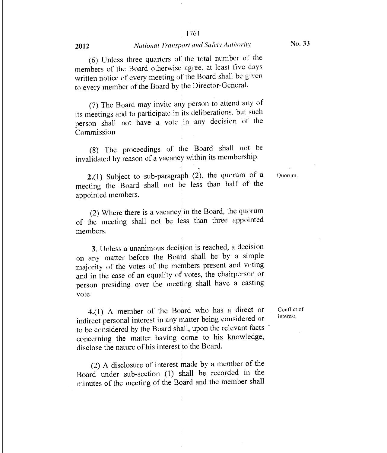#### 2012 *National Transport and Safety Authority*

(6) Unless three quarters of the total number of the members of the Board otherwise agree, at least five days written notice of every meeting of the Board shall be given to every member of the Board by the Director-General.

(7) The Board may invite any person to attend any of its meetings and to participate in its deliberations, but such person shall not have a vote in any decision of the Commission

(8) The proceedings of the Board shall not be invalidated by reason of a vacancy within its membership.

Quorum.

2.(1) Subject to sub-paragraph  $(2)$ , the quorum of a meeting the Board shall not be less than half of the appointed members.

(2) Where there is a vacancy in the Board, the quorum of the meeting shall not be less than three appointed members.

3. Unless a unanimous decision is reached, a decision on any matter before the Board shall be by a simple majority of the votes of the members present and voting and in the case of an equality of votes, the chairperson or person presiding over the meeting shall have a casting vote.

4.(1) A member of the Board who has a direct or Conflict of indirect personal interest in any matter being considered or to be considered by the Board shall, upon the relevant facts concerning the matter having come to his knowledge, disclose the nature of his interest to the Board.

(2) A disclosure of interest Made by a member of the Board under sub-section (1) Shall be recorded in the minutes of the meeting of the Board and the member shall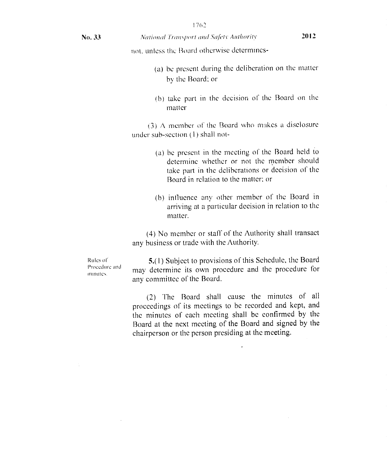*National Transport and Safety Authority* **2012** 

not, unless the Board otherwise determines-

- (a) be present during the deliberation on the matter by the Board; or
- (b) take part in the decision of' the Board on the matter

 $(3)$  A member of the Board who makes a disclosure under sub-section (1) shall not-

- (a) be present in the meeting of the Board held to determine whether or not the member should take part in the deliberations or decision of the Board in relation to the matter; or
- (b) influence any other member of the Board in arriving at a particular decision in relation to the matter.

(4) No member or staff of the Authority shall transact any business or trade with the Authority.

Rules of Procedure and ounutes

5.(1) Subject to provisions of this Schedule, the Board may determine its own procedure and the procedure for any committee of the Board.

(2) The Board shall cause the minutes of all proceedings of its meetings to he recorded and kept, and the minutes of each meeting shall be confirmed by the Board at the next meeting of the Board and signed by the chairperson or the person presiding at the meeting.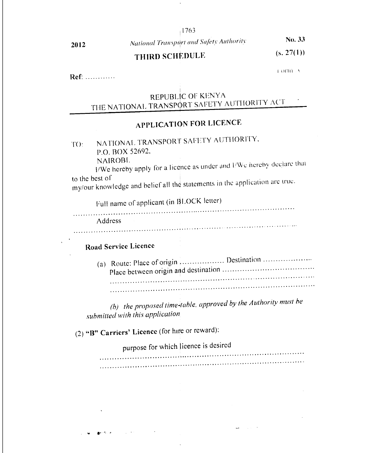#### 1763

# **2012** *National Transport and Safety Authority* **<b>No. 33**<br>*TIMPRECIPALIE <b>E* (8, 27(1)) THIRD SCHEDULE

r orm A

Ref:

### REPUBLIC OF KENYA THE NATIONAL TRANSPORT SAFETY AUTHORITY ACT

# **APPLICATION FOR LICENCE**

TO: NATIONAL TRANSPORT SAFETY AUTHORITY, P.O. BOX 52692,

NAIROBI.

HWe hereby apply for a licence as under and EWe hereby declare that to the best of

my/our knowledge and belief all the statements in the application arc true.

Full name of applicant (in BLOCK letter)

Address

### **Road Service Licence**

(a) Route: Place of origin Destination Place between origin and destination 

*(b)* the proposed time-table, approved by the Authority must be *submitted with this application* 

(2) **"B" Carriers' Licence** (for hire or reward):

purpose for which licence is desired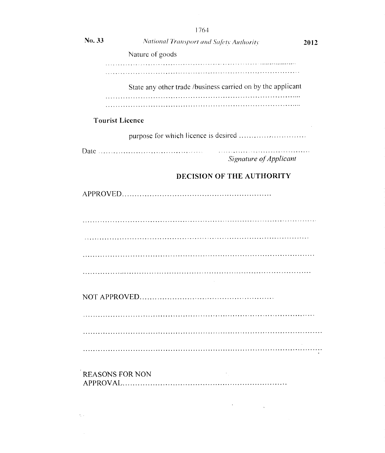|        | 1764                                                        |      |
|--------|-------------------------------------------------------------|------|
| No. 33 | National Transport and Safety Authority                     | 2012 |
|        | Nature of goods                                             |      |
|        |                                                             |      |
|        | State any other trade /business carried on by the applicant |      |
|        |                                                             |      |
|        |                                                             |      |
|        | <b>Tourist Licence</b>                                      |      |
|        |                                                             |      |
|        | Signature of Applicant                                      |      |
|        | DECISION OF THE AUTHORITY                                   |      |
|        |                                                             |      |
|        |                                                             |      |
|        |                                                             |      |
|        |                                                             |      |
|        |                                                             |      |
|        |                                                             |      |
|        |                                                             |      |
|        |                                                             |      |
|        |                                                             |      |
|        | <b>REASONS FOR NON</b><br>$\sim 20\%$                       |      |
|        |                                                             |      |

 $\label{eq:2} \mathcal{L}(\mathcal{A}) = \mathcal{L}(\mathcal{A}) \otimes \mathcal{L}(\mathcal{A})$ 

 $\label{eq:2.1} \mathcal{L}(\mathcal{L}^{\text{max}}_{\text{max}}(\mathcal{L}^{\text{max}}_{\text{max}})) = 0.$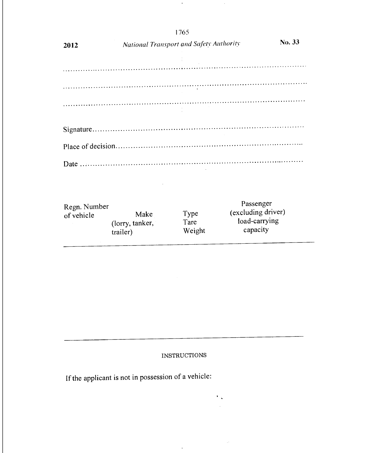|                            |                 | 1765                                    |                           |  |  |  |
|----------------------------|-----------------|-----------------------------------------|---------------------------|--|--|--|
| 2012                       |                 | National Transport and Safety Authority |                           |  |  |  |
|                            |                 |                                         |                           |  |  |  |
|                            |                 |                                         |                           |  |  |  |
|                            |                 | $\sim 10^{-1}$                          |                           |  |  |  |
|                            |                 |                                         |                           |  |  |  |
|                            |                 |                                         |                           |  |  |  |
|                            |                 |                                         |                           |  |  |  |
|                            |                 |                                         |                           |  |  |  |
|                            |                 |                                         |                           |  |  |  |
|                            |                 |                                         |                           |  |  |  |
|                            |                 |                                         |                           |  |  |  |
|                            |                 |                                         |                           |  |  |  |
|                            |                 |                                         | Passenger                 |  |  |  |
| Regn. Number<br>of vehicle | Make            | Type                                    | (excluding driver)        |  |  |  |
|                            | (lorry, tanker, | Tare                                    | load-carrying<br>capacity |  |  |  |
|                            | trailer)        | Weight                                  |                           |  |  |  |
|                            |                 |                                         |                           |  |  |  |
|                            |                 |                                         |                           |  |  |  |
|                            |                 |                                         |                           |  |  |  |
|                            |                 |                                         |                           |  |  |  |

 $\alpha$ 

 $\sim 10$ 

#### INSTRUCTIONS

 $\hat{\boldsymbol{\alpha}}$ 

 $\overline{\mathcal{F}}_{\mathbf{A}}$  $\mathcal{A}^{\prime}$ 

 $\sim$ 

If the applicant is not in possession of a vehicle: